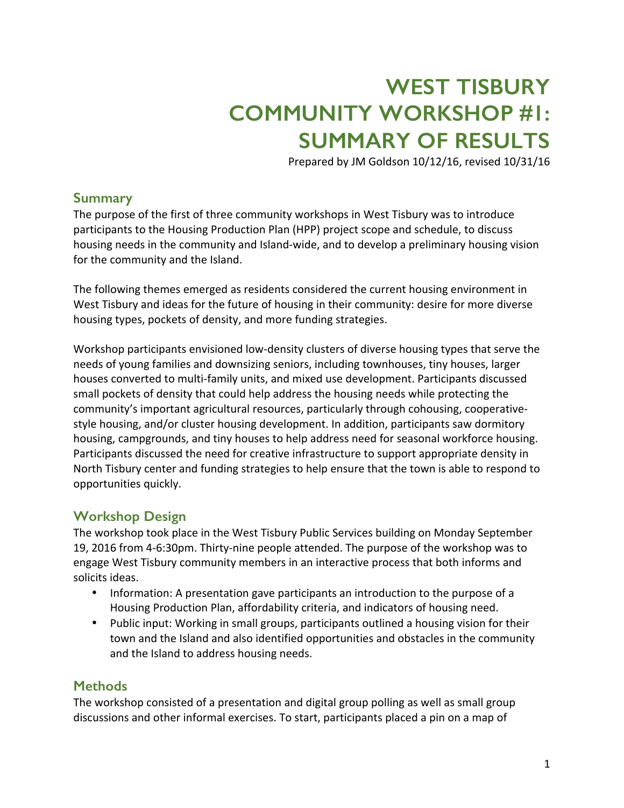# **WEST TISBURY COMMUNITY WORKSHOP #1: SUMMARY OF RESULTS**

Prepared by JM Goldson 10/12/16, revised 10/31/16

### **Summary**

The purpose of the first of three community workshops in West Tisbury was to introduce participants to the Housing Production Plan (HPP) project scope and schedule, to discuss housing needs in the community and Island-wide, and to develop a preliminary housing vision for the community and the Island.

The following themes emerged as residents considered the current housing environment in West Tisbury and ideas for the future of housing in their community: desire for more diverse housing types, pockets of density, and more funding strategies.

Workshop participants envisioned low-density clusters of diverse housing types that serve the needs of young families and downsizing seniors, including townhouses, tiny houses, larger houses converted to multi-family units, and mixed use development. Participants discussed small pockets of density that could help address the housing needs while protecting the community's important agricultural resources, particularly through cohousing, cooperativestyle housing, and/or cluster housing development. In addition, participants saw dormitory housing, campgrounds, and tiny houses to help address need for seasonal workforce housing. Participants discussed the need for creative infrastructure to support appropriate density in North Tisbury center and funding strategies to help ensure that the town is able to respond to opportunities quickly.

### **Workshop Design**

The workshop took place in the West Tisbury Public Services building on Monday September 19, 2016 from 4-6:30pm. Thirty-nine people attended. The purpose of the workshop was to engage West Tisbury community members in an interactive process that both informs and solicits ideas.

- Information: A presentation gave participants an introduction to the purpose of a Housing Production Plan, affordability criteria, and indicators of housing need.
- Public input: Working in small groups, participants outlined a housing vision for their town and the Island and also identified opportunities and obstacles in the community and the Island to address housing needs.

### **Methods**

The workshop consisted of a presentation and digital group polling as well as small group discussions and other informal exercises. To start, participants placed a pin on a map of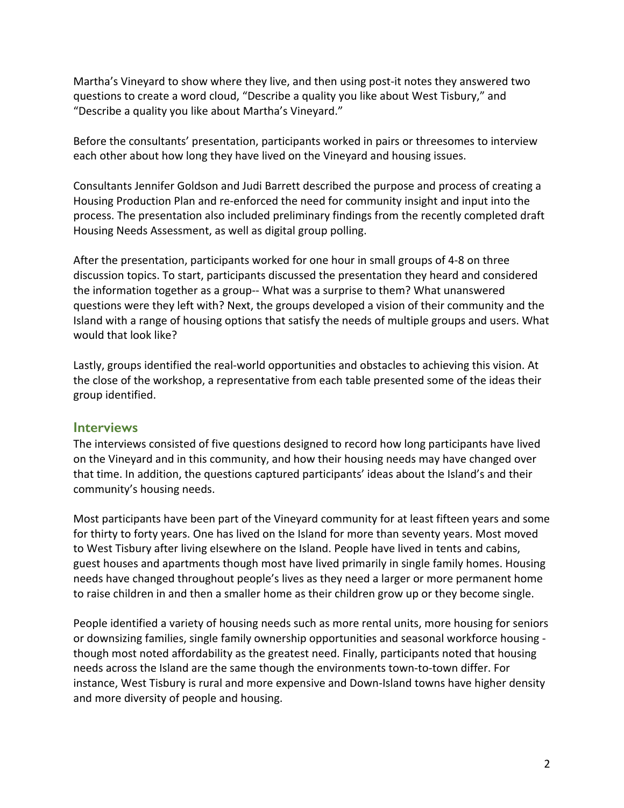Martha's Vineyard to show where they live, and then using post-it notes they answered two questions to create a word cloud, "Describe a quality you like about West Tisbury," and "Describe a quality you like about Martha's Vineyard."

Before the consultants' presentation, participants worked in pairs or threesomes to interview each other about how long they have lived on the Vineyard and housing issues.

Consultants Jennifer Goldson and Judi Barrett described the purpose and process of creating a Housing Production Plan and re-enforced the need for community insight and input into the process. The presentation also included preliminary findings from the recently completed draft Housing Needs Assessment, as well as digital group polling.

After the presentation, participants worked for one hour in small groups of 4-8 on three discussion topics. To start, participants discussed the presentation they heard and considered the information together as a group-- What was a surprise to them? What unanswered questions were they left with? Next, the groups developed a vision of their community and the Island with a range of housing options that satisfy the needs of multiple groups and users. What would that look like?

Lastly, groups identified the real-world opportunities and obstacles to achieving this vision. At the close of the workshop, a representative from each table presented some of the ideas their group identified.

### **Interviews**

The interviews consisted of five questions designed to record how long participants have lived on the Vineyard and in this community, and how their housing needs may have changed over that time. In addition, the questions captured participants' ideas about the Island's and their community's housing needs.

Most participants have been part of the Vineyard community for at least fifteen years and some for thirty to forty years. One has lived on the Island for more than seventy years. Most moved to West Tisbury after living elsewhere on the Island. People have lived in tents and cabins, guest houses and apartments though most have lived primarily in single family homes. Housing needs have changed throughout people's lives as they need a larger or more permanent home to raise children in and then a smaller home as their children grow up or they become single.

People identified a variety of housing needs such as more rental units, more housing for seniors or downsizing families, single family ownership opportunities and seasonal workforce housing though most noted affordability as the greatest need. Finally, participants noted that housing needs across the Island are the same though the environments town-to-town differ. For instance, West Tisbury is rural and more expensive and Down-Island towns have higher density and more diversity of people and housing.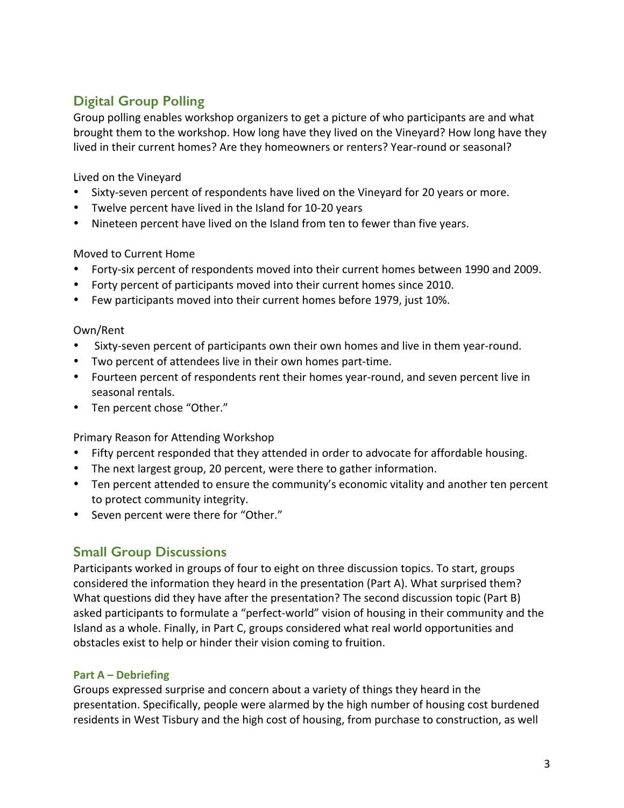## **Digital Group Polling**

Group polling enables workshop organizers to get a picture of who participants are and what brought them to the workshop. How long have they lived on the Vineyard? How long have they lived in their current homes? Are they homeowners or renters? Year-round or seasonal?

Lived on the Vineyard

- Sixty-seven percent of respondents have lived on the Vineyard for 20 years or more.
- Twelve percent have lived in the Island for 10-20 years
- Nineteen percent have lived on the Island from ten to fewer than five years.

Moved to Current Home

- Forty-six percent of respondents moved into their current homes between 1990 and 2009.
- Forty percent of participants moved into their current homes since 2010.
- Few participants moved into their current homes before 1979, just 10%.

### Own/Rent

- Sixty-seven percent of participants own their own homes and live in them year-round.
- Two percent of attendees live in their own homes part-time.
- Fourteen percent of respondents rent their homes year-round, and seven percent live in seasonal rentals.
- Ten percent chose "Other."

Primary Reason for Attending Workshop

- Fifty percent responded that they attended in order to advocate for affordable housing.
- The next largest group, 20 percent, were there to gather information.
- Ten percent attended to ensure the community's economic vitality and another ten percent to protect community integrity.
- Seven percent were there for "Other."

### **Small Group Discussions**

Participants worked in groups of four to eight on three discussion topics. To start, groups considered the information they heard in the presentation (Part A). What surprised them? What questions did they have after the presentation? The second discussion topic (Part B) asked participants to formulate a "perfect-world" vision of housing in their community and the Island as a whole. Finally, in Part C, groups considered what real world opportunities and obstacles exist to help or hinder their vision coming to fruition.

### **Part A – Debriefing**

Groups expressed surprise and concern about a variety of things they heard in the presentation. Specifically, people were alarmed by the high number of housing cost burdened residents in West Tisbury and the high cost of housing, from purchase to construction, as well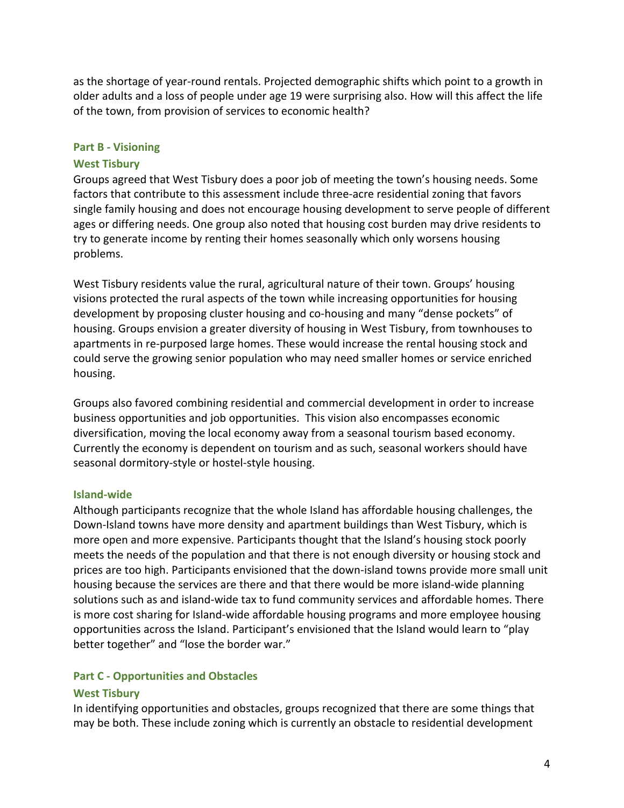as the shortage of year-round rentals. Projected demographic shifts which point to a growth in older adults and a loss of people under age 19 were surprising also. How will this affect the life of the town, from provision of services to economic health?

### **Part B - Visioning**

#### **West Tisbury**

Groups agreed that West Tisbury does a poor job of meeting the town's housing needs. Some factors that contribute to this assessment include three-acre residential zoning that favors single family housing and does not encourage housing development to serve people of different ages or differing needs. One group also noted that housing cost burden may drive residents to try to generate income by renting their homes seasonally which only worsens housing problems.

West Tisbury residents value the rural, agricultural nature of their town. Groups' housing visions protected the rural aspects of the town while increasing opportunities for housing development by proposing cluster housing and co-housing and many "dense pockets" of housing. Groups envision a greater diversity of housing in West Tisbury, from townhouses to apartments in re-purposed large homes. These would increase the rental housing stock and could serve the growing senior population who may need smaller homes or service enriched housing.

Groups also favored combining residential and commercial development in order to increase business opportunities and job opportunities. This vision also encompasses economic diversification, moving the local economy away from a seasonal tourism based economy. Currently the economy is dependent on tourism and as such, seasonal workers should have seasonal dormitory-style or hostel-style housing.

#### **Island-wide**

Although participants recognize that the whole Island has affordable housing challenges, the Down-Island towns have more density and apartment buildings than West Tisbury, which is more open and more expensive. Participants thought that the Island's housing stock poorly meets the needs of the population and that there is not enough diversity or housing stock and prices are too high. Participants envisioned that the down-island towns provide more small unit housing because the services are there and that there would be more island-wide planning solutions such as and island-wide tax to fund community services and affordable homes. There is more cost sharing for Island-wide affordable housing programs and more employee housing opportunities across the Island. Participant's envisioned that the Island would learn to "play better together" and "lose the border war."

### **Part C - Opportunities and Obstacles**

#### **West Tisbury**

In identifying opportunities and obstacles, groups recognized that there are some things that may be both. These include zoning which is currently an obstacle to residential development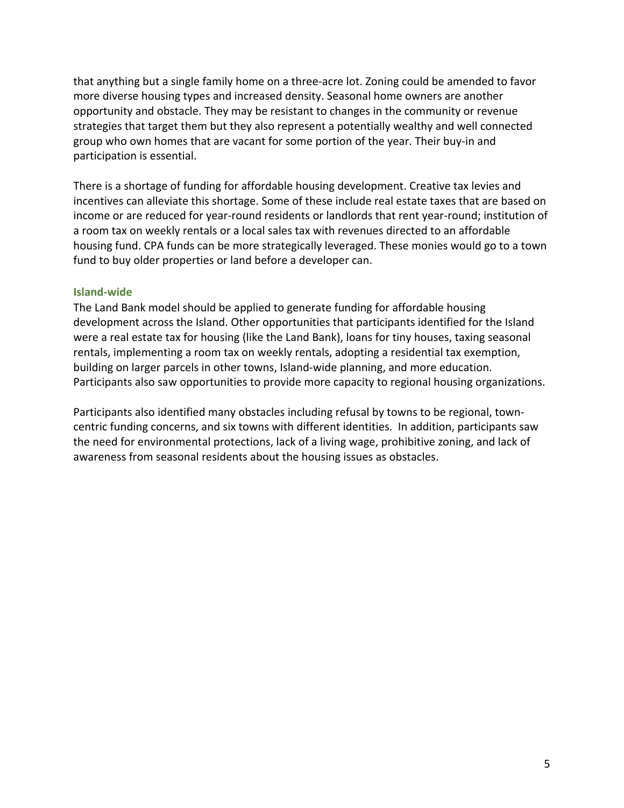that anything but a single family home on a three-acre lot. Zoning could be amended to favor more diverse housing types and increased density. Seasonal home owners are another opportunity and obstacle. They may be resistant to changes in the community or revenue strategies that target them but they also represent a potentially wealthy and well connected group who own homes that are vacant for some portion of the year. Their buy-in and participation is essential.

There is a shortage of funding for affordable housing development. Creative tax levies and incentives can alleviate this shortage. Some of these include real estate taxes that are based on income or are reduced for year-round residents or landlords that rent year-round; institution of a room tax on weekly rentals or a local sales tax with revenues directed to an affordable housing fund. CPA funds can be more strategically leveraged. These monies would go to a town fund to buy older properties or land before a developer can.

### **Island-wide**

The Land Bank model should be applied to generate funding for affordable housing development across the Island. Other opportunities that participants identified for the Island were a real estate tax for housing (like the Land Bank), loans for tiny houses, taxing seasonal rentals, implementing a room tax on weekly rentals, adopting a residential tax exemption, building on larger parcels in other towns, Island-wide planning, and more education. Participants also saw opportunities to provide more capacity to regional housing organizations.

Participants also identified many obstacles including refusal by towns to be regional, towncentric funding concerns, and six towns with different identities. In addition, participants saw the need for environmental protections, lack of a living wage, prohibitive zoning, and lack of awareness from seasonal residents about the housing issues as obstacles.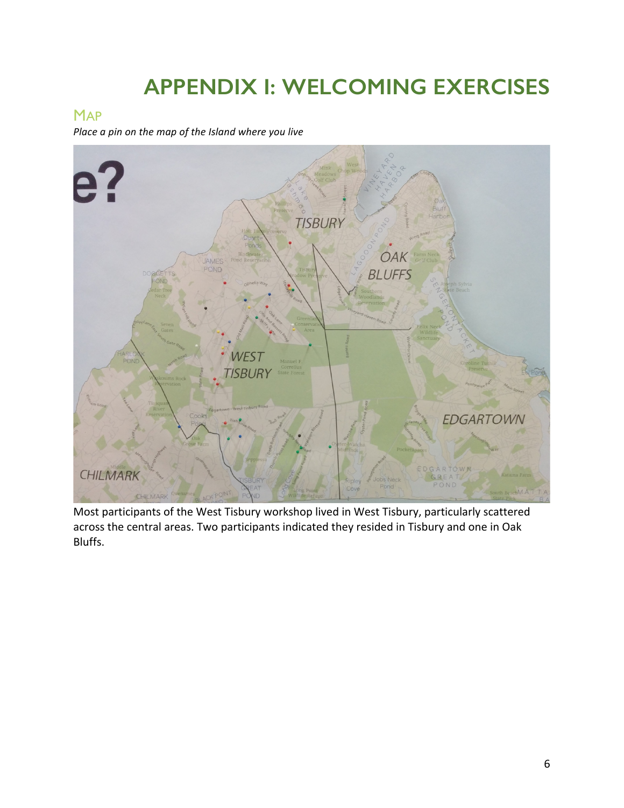# **APPENDIX I: WELCOMING EXERCISES**

## **MAP**

*Place a pin on the map of the Island where you live* 



Most participants of the West Tisbury workshop lived in West Tisbury, particularly scattered across the central areas. Two participants indicated they resided in Tisbury and one in Oak Bluffs.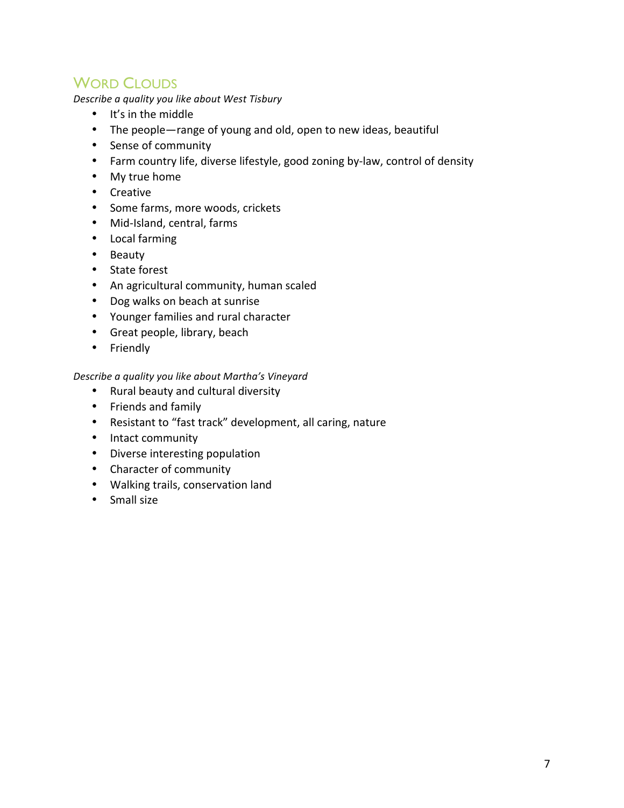## WORD CLOUDS

*Describe a quality you like about West Tisbury*

- It's in the middle
- The people—range of young and old, open to new ideas, beautiful
- Sense of community
- Farm country life, diverse lifestyle, good zoning by-law, control of density
- My true home
- Creative
- Some farms, more woods, crickets
- Mid-Island, central, farms
- Local farming
- Beauty
- State forest
- An agricultural community, human scaled
- Dog walks on beach at sunrise
- Younger families and rural character
- Great people, library, beach
- Friendly

### *Describe a quality you like about Martha's Vineyard*

- Rural beauty and cultural diversity
- Friends and family
- Resistant to "fast track" development, all caring, nature
- Intact community
- Diverse interesting population
- Character of community
- Walking trails, conservation land
- Small size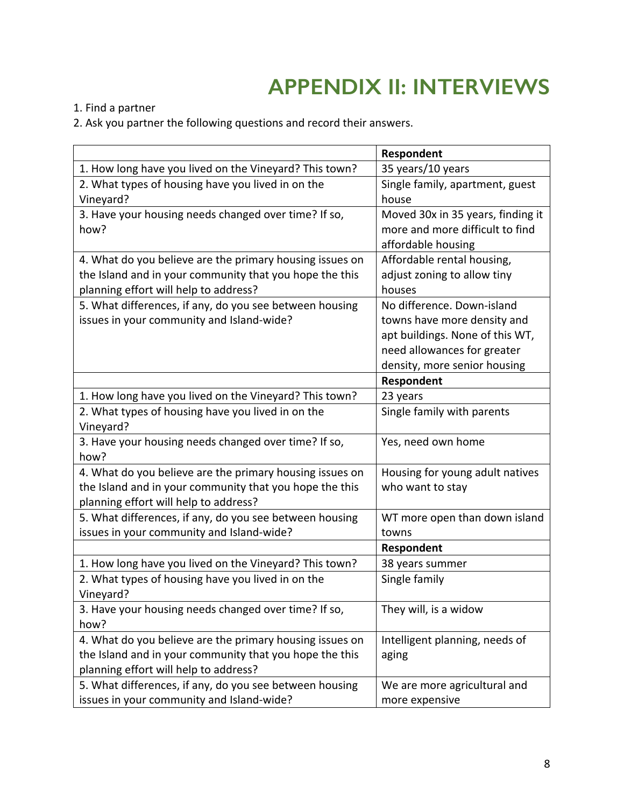# **APPENDIX II: INTERVIEWS**

1. Find a partner

2. Ask you partner the following questions and record their answers.

|                                                          | Respondent                        |  |
|----------------------------------------------------------|-----------------------------------|--|
| 1. How long have you lived on the Vineyard? This town?   | 35 years/10 years                 |  |
| 2. What types of housing have you lived in on the        | Single family, apartment, guest   |  |
| Vineyard?                                                | house                             |  |
| 3. Have your housing needs changed over time? If so,     | Moved 30x in 35 years, finding it |  |
| how?                                                     | more and more difficult to find   |  |
|                                                          | affordable housing                |  |
| 4. What do you believe are the primary housing issues on | Affordable rental housing,        |  |
| the Island and in your community that you hope the this  | adjust zoning to allow tiny       |  |
| planning effort will help to address?                    | houses                            |  |
| 5. What differences, if any, do you see between housing  | No difference. Down-island        |  |
| issues in your community and Island-wide?                | towns have more density and       |  |
|                                                          | apt buildings. None of this WT,   |  |
|                                                          | need allowances for greater       |  |
|                                                          | density, more senior housing      |  |
|                                                          | Respondent                        |  |
| 1. How long have you lived on the Vineyard? This town?   | 23 years                          |  |
| 2. What types of housing have you lived in on the        | Single family with parents        |  |
| Vineyard?                                                |                                   |  |
| 3. Have your housing needs changed over time? If so,     | Yes, need own home                |  |
| how?                                                     |                                   |  |
| 4. What do you believe are the primary housing issues on | Housing for young adult natives   |  |
| the Island and in your community that you hope the this  | who want to stay                  |  |
| planning effort will help to address?                    |                                   |  |
| 5. What differences, if any, do you see between housing  | WT more open than down island     |  |
| issues in your community and Island-wide?                | towns                             |  |
|                                                          | Respondent                        |  |
| 1. How long have you lived on the Vineyard? This town?   | 38 years summer                   |  |
| 2. What types of housing have you lived in on the        | Single family                     |  |
| Vineyard?                                                |                                   |  |
| 3. Have your housing needs changed over time? If so,     | They will, is a widow             |  |
| how?                                                     |                                   |  |
| 4. What do you believe are the primary housing issues on | Intelligent planning, needs of    |  |
| the Island and in your community that you hope the this  | aging                             |  |
| planning effort will help to address?                    |                                   |  |
| 5. What differences, if any, do you see between housing  | We are more agricultural and      |  |
| issues in your community and Island-wide?                | more expensive                    |  |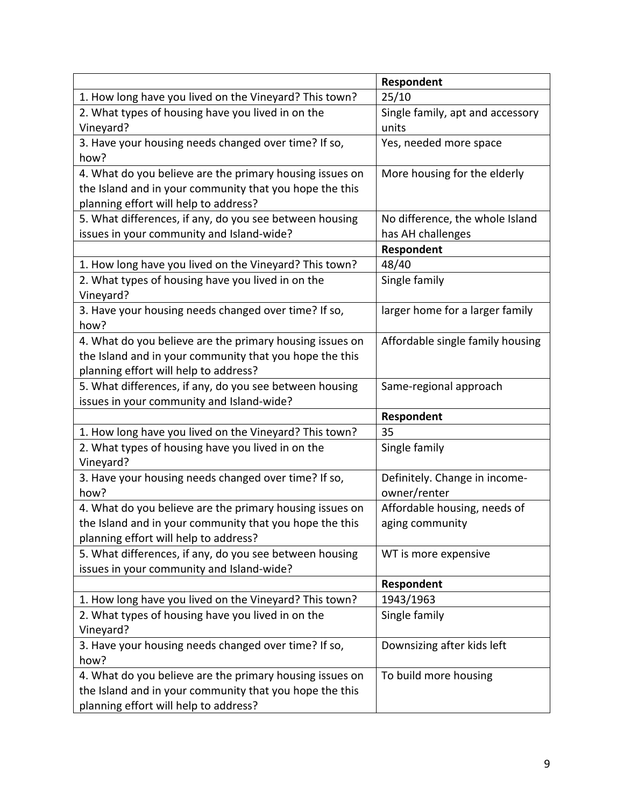|                                                          | Respondent                       |
|----------------------------------------------------------|----------------------------------|
| 1. How long have you lived on the Vineyard? This town?   | 25/10                            |
| 2. What types of housing have you lived in on the        | Single family, apt and accessory |
| Vineyard?                                                | units                            |
| 3. Have your housing needs changed over time? If so,     | Yes, needed more space           |
| how?                                                     |                                  |
| 4. What do you believe are the primary housing issues on | More housing for the elderly     |
| the Island and in your community that you hope the this  |                                  |
| planning effort will help to address?                    |                                  |
| 5. What differences, if any, do you see between housing  | No difference, the whole Island  |
| issues in your community and Island-wide?                | has AH challenges                |
|                                                          | Respondent                       |
| 1. How long have you lived on the Vineyard? This town?   | 48/40                            |
| 2. What types of housing have you lived in on the        | Single family                    |
| Vineyard?                                                |                                  |
| 3. Have your housing needs changed over time? If so,     | larger home for a larger family  |
| how?                                                     |                                  |
| 4. What do you believe are the primary housing issues on | Affordable single family housing |
| the Island and in your community that you hope the this  |                                  |
| planning effort will help to address?                    |                                  |
| 5. What differences, if any, do you see between housing  | Same-regional approach           |
| issues in your community and Island-wide?                |                                  |
|                                                          | Respondent                       |
| 1. How long have you lived on the Vineyard? This town?   | 35                               |
| 2. What types of housing have you lived in on the        | Single family                    |
| Vineyard?                                                |                                  |
| 3. Have your housing needs changed over time? If so,     | Definitely. Change in income-    |
| how?                                                     | owner/renter                     |
| 4. What do you believe are the primary housing issues on | Affordable housing, needs of     |
| the Island and in your community that you hope the this  | aging community                  |
| planning effort will help to address?                    |                                  |
| 5. What differences, if any, do you see between housing  | WT is more expensive             |
| issues in your community and Island-wide?                |                                  |
|                                                          | Respondent                       |
| 1. How long have you lived on the Vineyard? This town?   | 1943/1963                        |
| 2. What types of housing have you lived in on the        | Single family                    |
| Vineyard?                                                |                                  |
| 3. Have your housing needs changed over time? If so,     | Downsizing after kids left       |
| how?                                                     |                                  |
| 4. What do you believe are the primary housing issues on | To build more housing            |
| the Island and in your community that you hope the this  |                                  |
| planning effort will help to address?                    |                                  |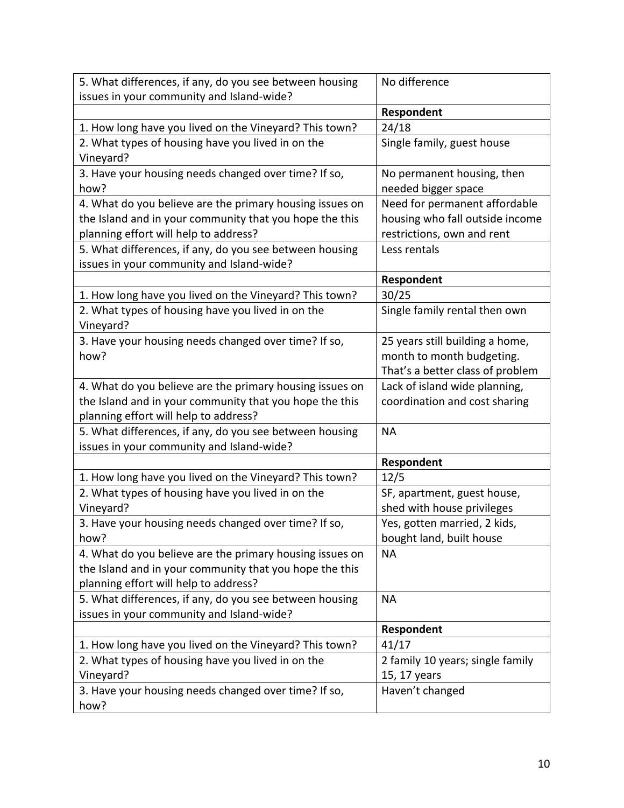| 5. What differences, if any, do you see between housing                                          | No difference                    |
|--------------------------------------------------------------------------------------------------|----------------------------------|
| issues in your community and Island-wide?                                                        |                                  |
|                                                                                                  | Respondent                       |
| 1. How long have you lived on the Vineyard? This town?                                           | 24/18                            |
| 2. What types of housing have you lived in on the                                                | Single family, guest house       |
| Vineyard?                                                                                        |                                  |
| 3. Have your housing needs changed over time? If so,                                             | No permanent housing, then       |
| how?                                                                                             | needed bigger space              |
| 4. What do you believe are the primary housing issues on                                         | Need for permanent affordable    |
| the Island and in your community that you hope the this                                          | housing who fall outside income  |
| planning effort will help to address?                                                            | restrictions, own and rent       |
| 5. What differences, if any, do you see between housing                                          | Less rentals                     |
| issues in your community and Island-wide?                                                        |                                  |
|                                                                                                  | Respondent                       |
| 1. How long have you lived on the Vineyard? This town?                                           | 30/25                            |
| 2. What types of housing have you lived in on the<br>Vineyard?                                   | Single family rental then own    |
| 3. Have your housing needs changed over time? If so,                                             | 25 years still building a home,  |
| how?                                                                                             | month to month budgeting.        |
|                                                                                                  | That's a better class of problem |
| 4. What do you believe are the primary housing issues on                                         | Lack of island wide planning,    |
| the Island and in your community that you hope the this<br>planning effort will help to address? | coordination and cost sharing    |
| 5. What differences, if any, do you see between housing                                          | <b>NA</b>                        |
| issues in your community and Island-wide?                                                        |                                  |
|                                                                                                  | Respondent                       |
| 1. How long have you lived on the Vineyard? This town?                                           | 12/5                             |
| 2. What types of housing have you lived in on the                                                | SF, apartment, guest house,      |
| Vineyard?                                                                                        | shed with house privileges       |
| 3. Have your housing needs changed over time? If so,                                             | Yes, gotten married, 2 kids,     |
| how?                                                                                             | bought land, built house         |
| 4. What do you believe are the primary housing issues on                                         | <b>NA</b>                        |
| the Island and in your community that you hope the this                                          |                                  |
| planning effort will help to address?                                                            |                                  |
| 5. What differences, if any, do you see between housing                                          | <b>NA</b>                        |
| issues in your community and Island-wide?                                                        |                                  |
|                                                                                                  | Respondent                       |
| 1. How long have you lived on the Vineyard? This town?                                           | 41/17                            |
| 2. What types of housing have you lived in on the                                                | 2 family 10 years; single family |
| Vineyard?                                                                                        | 15, 17 years                     |
| 3. Have your housing needs changed over time? If so,                                             | Haven't changed                  |
| how?                                                                                             |                                  |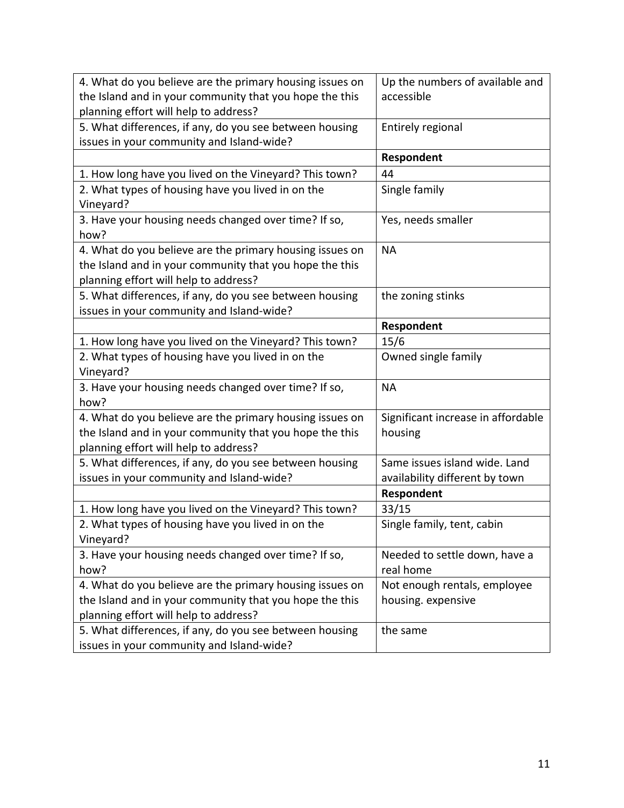| 4. What do you believe are the primary housing issues on | Up the numbers of available and    |
|----------------------------------------------------------|------------------------------------|
| the Island and in your community that you hope the this  | accessible                         |
| planning effort will help to address?                    |                                    |
| 5. What differences, if any, do you see between housing  | Entirely regional                  |
| issues in your community and Island-wide?                |                                    |
|                                                          | Respondent                         |
| 1. How long have you lived on the Vineyard? This town?   | 44                                 |
| 2. What types of housing have you lived in on the        | Single family                      |
| Vineyard?                                                |                                    |
| 3. Have your housing needs changed over time? If so,     | Yes, needs smaller                 |
| how?                                                     |                                    |
| 4. What do you believe are the primary housing issues on | <b>NA</b>                          |
| the Island and in your community that you hope the this  |                                    |
| planning effort will help to address?                    |                                    |
| 5. What differences, if any, do you see between housing  | the zoning stinks                  |
| issues in your community and Island-wide?                |                                    |
|                                                          | Respondent                         |
| 1. How long have you lived on the Vineyard? This town?   | 15/6                               |
| 2. What types of housing have you lived in on the        | Owned single family                |
| Vineyard?                                                |                                    |
| 3. Have your housing needs changed over time? If so,     | <b>NA</b>                          |
| how?                                                     |                                    |
| 4. What do you believe are the primary housing issues on | Significant increase in affordable |
| the Island and in your community that you hope the this  | housing                            |
| planning effort will help to address?                    |                                    |
| 5. What differences, if any, do you see between housing  | Same issues island wide. Land      |
| issues in your community and Island-wide?                | availability different by town     |
|                                                          | Respondent                         |
| 1. How long have you lived on the Vineyard? This town?   | 33/15                              |
| 2. What types of housing have you lived in on the        | Single family, tent, cabin         |
| Vineyard?                                                |                                    |
| 3. Have your housing needs changed over time? If so,     | Needed to settle down, have a      |
| how?                                                     | real home                          |
| 4. What do you believe are the primary housing issues on | Not enough rentals, employee       |
| the Island and in your community that you hope the this  | housing. expensive                 |
| planning effort will help to address?                    |                                    |
| 5. What differences, if any, do you see between housing  | the same                           |
| issues in your community and Island-wide?                |                                    |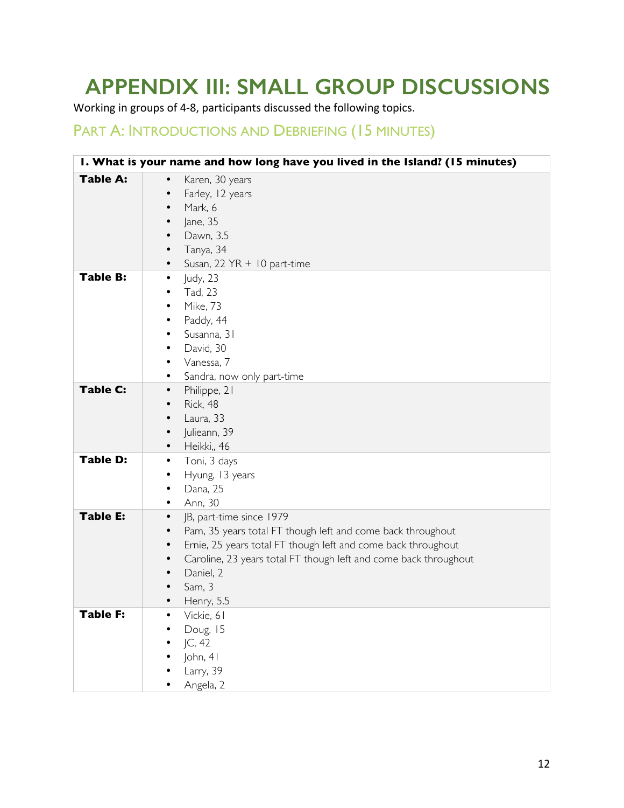# **APPENDIX III: SMALL GROUP DISCUSSIONS**

Working in groups of 4-8, participants discussed the following topics.

## PART A: INTRODUCTIONS AND DEBRIEFING (15 MINUTES)

| I. What is your name and how long have you lived in the Island? (15 minutes) |                                                                                                                                                                                                                                                                                                                            |  |
|------------------------------------------------------------------------------|----------------------------------------------------------------------------------------------------------------------------------------------------------------------------------------------------------------------------------------------------------------------------------------------------------------------------|--|
| <b>Table A:</b>                                                              | Karen, 30 years<br>$\bullet$<br>Farley, 12 years<br>٠<br>Mark, 6<br>٠<br>Jane, 35<br>٠<br>Dawn, 3.5<br>Tanya, 34<br>Susan, 22 YR + 10 part-time<br>$\bullet$                                                                                                                                                               |  |
| <b>Table B:</b>                                                              | Judy, 23<br>٠<br>Tad, 23<br>٠<br><b>Mike, 73</b><br>٠<br>Paddy, 44<br>٠<br>Susanna, 31<br>٠<br>David, 30<br>٠<br>Vanessa, 7<br>٠<br>Sandra, now only part-time<br>٠                                                                                                                                                        |  |
| <b>Table C:</b>                                                              | Philippe, 21<br>$\bullet$<br>Rick, 48<br>٠<br>Laura, 33<br>٠<br>Julieann, 39<br>٠<br>Heikki,, 46<br>$\bullet$                                                                                                                                                                                                              |  |
| <b>Table D:</b>                                                              | Toni, 3 days<br>$\bullet$<br>Hyung, 13 years<br>٠<br>Dana, 25<br>٠<br>Ann, 30<br>٠                                                                                                                                                                                                                                         |  |
| <b>Table E:</b>                                                              | JB, part-time since 1979<br>$\bullet$<br>Pam, 35 years total FT though left and come back throughout<br>$\bullet$<br>Ernie, 25 years total FT though left and come back throughout<br>٠<br>Caroline, 23 years total FT though left and come back throughout<br>$\bullet$<br>Daniel, 2<br>$\bullet$<br>Sam, 3<br>Henry, 5.5 |  |
| Table F:                                                                     | Vickie, 61<br>Doug, 15<br> C, 42<br>John, 41<br>Larry, 39<br>Angela, 2                                                                                                                                                                                                                                                     |  |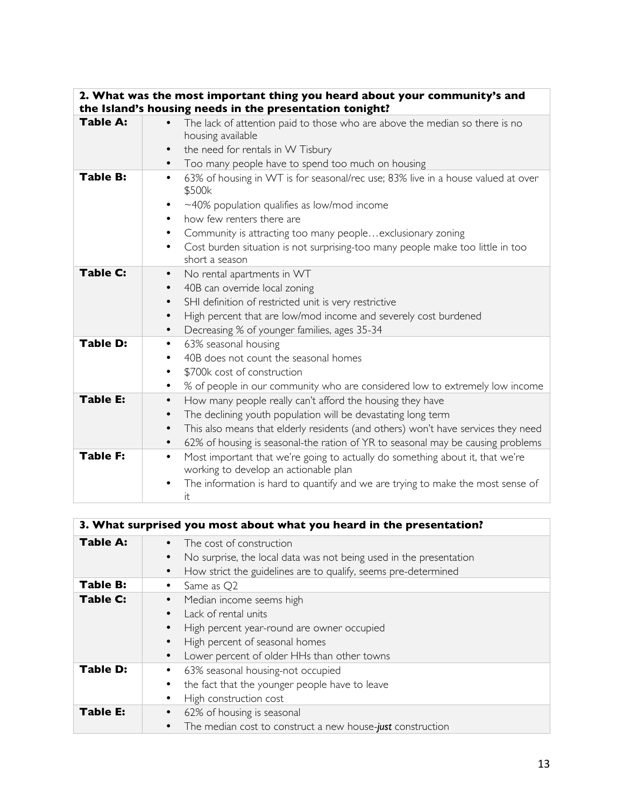|                 | 2. What was the most important thing you heard about your community's and                                                           |
|-----------------|-------------------------------------------------------------------------------------------------------------------------------------|
|                 | the Island's housing needs in the presentation tonight?                                                                             |
| Table A:        | The lack of attention paid to those who are above the median so there is no<br>housing available                                    |
|                 | the need for rentals in W Tisbury                                                                                                   |
|                 | Too many people have to spend too much on housing<br>$\bullet$                                                                      |
| <b>Table B:</b> | 63% of housing in WT is for seasonal/rec use; 83% live in a house valued at over<br>٠<br>\$500k                                     |
|                 | $\sim$ 40% population qualifies as low/mod income                                                                                   |
|                 | how few renters there are<br>$\bullet$                                                                                              |
|                 | Community is attracting too many peopleexclusionary zoning<br>٠                                                                     |
|                 | Cost burden situation is not surprising-too many people make too little in too<br>$\bullet$<br>short a season                       |
| <b>Table C:</b> | No rental apartments in WT<br>$\bullet$                                                                                             |
|                 | 40B can override local zoning<br>$\bullet$                                                                                          |
|                 | SHI definition of restricted unit is very restrictive<br>$\bullet$                                                                  |
|                 | High percent that are low/mod income and severely cost burdened<br>$\bullet$                                                        |
|                 | Decreasing % of younger families, ages 35-34<br>$\bullet$                                                                           |
| <b>Table D:</b> | 63% seasonal housing<br>٠                                                                                                           |
|                 | 40B does not count the seasonal homes<br>٠                                                                                          |
|                 | \$700k cost of construction                                                                                                         |
|                 | % of people in our community who are considered low to extremely low income<br>٠                                                    |
| <b>Table E:</b> | How many people really can't afford the housing they have<br>$\bullet$                                                              |
|                 | The declining youth population will be devastating long term<br>$\bullet$                                                           |
|                 | This also means that elderly residents (and others) won't have services they need<br>$\bullet$                                      |
|                 | 62% of housing is seasonal-the ration of YR to seasonal may be causing problems<br>$\bullet$                                        |
| <b>Table F:</b> | Most important that we're going to actually do something about it, that we're<br>$\bullet$<br>working to develop an actionable plan |
|                 | The information is hard to quantify and we are trying to make the most sense of<br>it                                               |

| 3. What surprised you most about what you heard in the presentation? |                                                                                                |
|----------------------------------------------------------------------|------------------------------------------------------------------------------------------------|
| <b>Table A:</b>                                                      | The cost of construction<br>No surprise, the local data was not being used in the presentation |
|                                                                      | How strict the guidelines are to qualify, seems pre-determined                                 |
| Table B:                                                             | Same as Q2                                                                                     |
| <b>Table C:</b>                                                      | Median income seems high<br>$\bullet$                                                          |
|                                                                      | Lack of rental units                                                                           |
|                                                                      | High percent year-round are owner occupied                                                     |
|                                                                      | High percent of seasonal homes                                                                 |
|                                                                      | Lower percent of older HHs than other towns<br>$\bullet$                                       |
| <b>Table D:</b>                                                      | 63% seasonal housing-not occupied                                                              |
|                                                                      | the fact that the younger people have to leave                                                 |
|                                                                      | High construction cost                                                                         |
| <b>Table E:</b>                                                      | 62% of housing is seasonal                                                                     |
|                                                                      | The median cost to construct a new house-just construction<br>$\bullet$                        |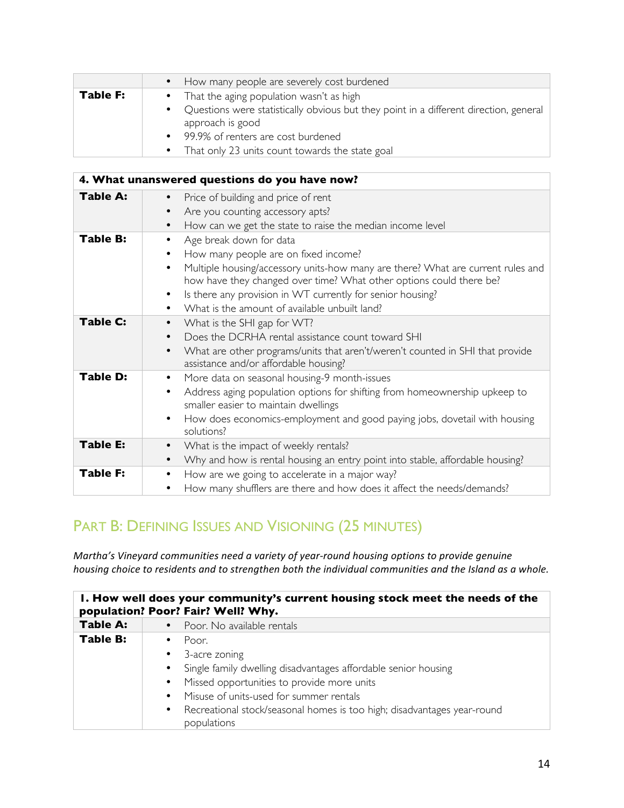|          | • How many people are severely cost burdened                                                                           |
|----------|------------------------------------------------------------------------------------------------------------------------|
| Table F: | • That the aging population wasn't as high                                                                             |
|          | Questions were statistically obvious but they point in a different direction, general<br>$\bullet$<br>approach is good |
|          | • 99.9% of renters are cost burdened                                                                                   |
|          | • That only 23 units count towards the state goal                                                                      |

|                 | 4. What unanswered questions do you have now?                                                                                                                                                                                                                                                                                                                                   |
|-----------------|---------------------------------------------------------------------------------------------------------------------------------------------------------------------------------------------------------------------------------------------------------------------------------------------------------------------------------------------------------------------------------|
| Table A:        | Price of building and price of rent<br>Are you counting accessory apts?<br>How can we get the state to raise the median income level                                                                                                                                                                                                                                            |
| <b>Table B:</b> | Age break down for data<br>How many people are on fixed income?<br>Multiple housing/accessory units-how many are there? What are current rules and<br>$\bullet$<br>how have they changed over time? What other options could there be?<br>Is there any provision in WT currently for senior housing?<br>$\bullet$<br>What is the amount of available unbuilt land?<br>$\bullet$ |
| <b>Table C:</b> | What is the SHI gap for WT?<br>$\bullet$<br>Does the DCRHA rental assistance count toward SHI<br>What are other programs/units that aren't/weren't counted in SHI that provide<br>assistance and/or affordable housing?                                                                                                                                                         |
| <b>Table D:</b> | More data on seasonal housing-9 month-issues<br>Address aging population options for shifting from homeownership upkeep to<br>٠<br>smaller easier to maintain dwellings<br>How does economics-employment and good paying jobs, dovetail with housing<br>solutions?                                                                                                              |
| <b>Table E:</b> | What is the impact of weekly rentals?<br>$\bullet$<br>Why and how is rental housing an entry point into stable, affordable housing?<br>$\bullet$                                                                                                                                                                                                                                |
| <b>Table F:</b> | How are we going to accelerate in a major way?<br>$\bullet$<br>How many shufflers are there and how does it affect the needs/demands?<br>٠                                                                                                                                                                                                                                      |

# PART B: DEFINING ISSUES AND VISIONING (25 MINUTES)

*Martha's Vineyard communities need a variety of year-round housing options to provide genuine housing* choice to residents and to strengthen both the individual communities and the Island as a whole.

| 1. How well does your community's current housing stock meet the needs of the<br>population? Poor? Fair? Well? Why. |                                                                                                                                                                                                                                                                                                                      |
|---------------------------------------------------------------------------------------------------------------------|----------------------------------------------------------------------------------------------------------------------------------------------------------------------------------------------------------------------------------------------------------------------------------------------------------------------|
| <b>Table A:</b>                                                                                                     | • Poor. No available rentals                                                                                                                                                                                                                                                                                         |
| <b>Table B:</b>                                                                                                     | Poor.<br>• 3-acre zoning<br>Single family dwelling disadvantages affordable senior housing<br>Missed opportunities to provide more units<br>$\bullet$<br>Misuse of units-used for summer rentals<br>$\bullet$<br>Recreational stock/seasonal homes is too high; disadvantages year-round<br>$\bullet$<br>populations |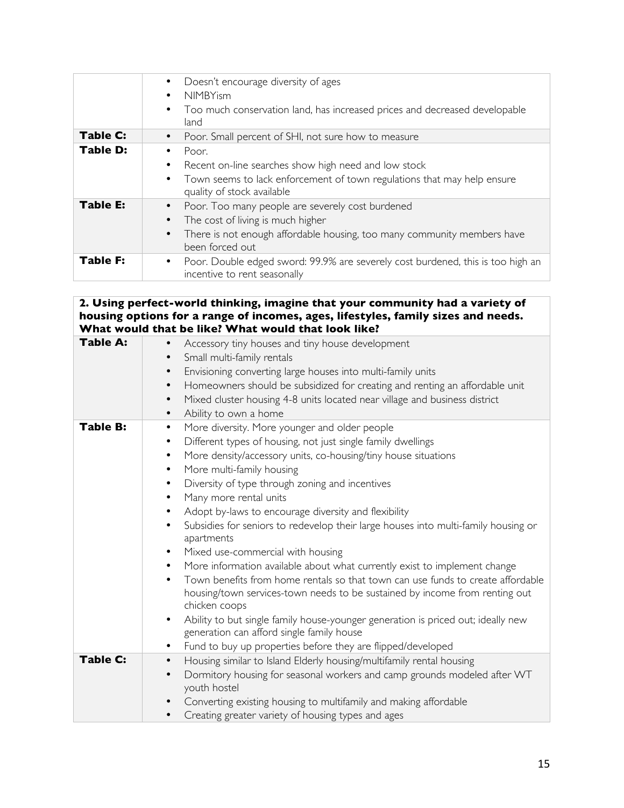|                 | Doesn't encourage diversity of ages<br><b>NIMBYism</b><br>$\bullet$<br>Too much conservation land, has increased prices and decreased developable<br>land                                                                  |
|-----------------|----------------------------------------------------------------------------------------------------------------------------------------------------------------------------------------------------------------------------|
| Table C:        | Poor. Small percent of SHI, not sure how to measure                                                                                                                                                                        |
| <b>Table D:</b> | Poor.<br>Recent on-line searches show high need and low stock<br>Town seems to lack enforcement of town regulations that may help ensure<br>$\bullet$<br>quality of stock available                                        |
| <b>Table E:</b> | Poor. Too many people are severely cost burdened<br>$\bullet$<br>The cost of living is much higher<br>$\bullet$<br>There is not enough affordable housing, too many community members have<br>$\bullet$<br>been forced out |
| <b>Table F:</b> | Poor. Double edged sword: 99.9% are severely cost burdened, this is too high an<br>$\bullet$<br>incentive to rent seasonally                                                                                               |

#### **2. Using perfect-world thinking, imagine that your community had a variety of housing options for a range of incomes, ages, lifestyles, family sizes and needs. What would that be like? What would that look like?**

| <b>Table A:</b> | Accessory tiny houses and tiny house development<br>Small multi-family rentals<br>Envisioning converting large houses into multi-family units<br>٠<br>Homeowners should be subsidized for creating and renting an affordable unit<br>$\bullet$<br>Mixed cluster housing 4-8 units located near village and business district<br>$\bullet$<br>Ability to own a home<br>٠                                                                                                                                                                                                                                                                                                                                                                                                                                                                                                                                                                                                                                                                                                   |
|-----------------|---------------------------------------------------------------------------------------------------------------------------------------------------------------------------------------------------------------------------------------------------------------------------------------------------------------------------------------------------------------------------------------------------------------------------------------------------------------------------------------------------------------------------------------------------------------------------------------------------------------------------------------------------------------------------------------------------------------------------------------------------------------------------------------------------------------------------------------------------------------------------------------------------------------------------------------------------------------------------------------------------------------------------------------------------------------------------|
| <b>Table B:</b> | More diversity. More younger and older people<br>٠<br>Different types of housing, not just single family dwellings<br>$\bullet$<br>More density/accessory units, co-housing/tiny house situations<br>$\bullet$<br>More multi-family housing<br>$\bullet$<br>Diversity of type through zoning and incentives<br>٠<br>Many more rental units<br>$\bullet$<br>Adopt by-laws to encourage diversity and flexibility<br>Subsidies for seniors to redevelop their large houses into multi-family housing or<br>$\bullet$<br>apartments<br>Mixed use-commercial with housing<br>$\bullet$<br>More information available about what currently exist to implement change<br>٠<br>Town benefits from home rentals so that town can use funds to create affordable<br>$\bullet$<br>housing/town services-town needs to be sustained by income from renting out<br>chicken coops<br>Ability to but single family house-younger generation is priced out; ideally new<br>generation can afford single family house<br>Fund to buy up properties before they are flipped/developed<br>٠ |
| <b>Table C:</b> | Housing similar to Island Elderly housing/multifamily rental housing<br>$\bullet$<br>Dormitory housing for seasonal workers and camp grounds modeled after WT<br>$\bullet$<br>youth hostel                                                                                                                                                                                                                                                                                                                                                                                                                                                                                                                                                                                                                                                                                                                                                                                                                                                                                |
|                 | Converting existing housing to multifamily and making affordable<br>$\bullet$<br>Creating greater variety of housing types and ages<br>$\bullet$                                                                                                                                                                                                                                                                                                                                                                                                                                                                                                                                                                                                                                                                                                                                                                                                                                                                                                                          |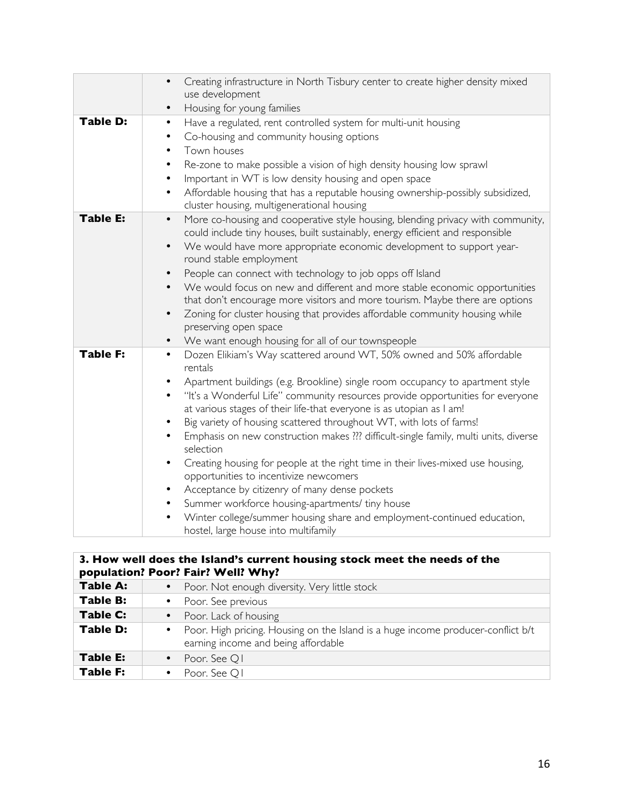|                 | Creating infrastructure in North Tisbury center to create higher density mixed<br>use development<br>Housing for young families<br>$\bullet$                                                                                                                                                                                                                                                                                                                                                                                                                                                                                                                                                                                                                                                                                                                                                                                                        |
|-----------------|-----------------------------------------------------------------------------------------------------------------------------------------------------------------------------------------------------------------------------------------------------------------------------------------------------------------------------------------------------------------------------------------------------------------------------------------------------------------------------------------------------------------------------------------------------------------------------------------------------------------------------------------------------------------------------------------------------------------------------------------------------------------------------------------------------------------------------------------------------------------------------------------------------------------------------------------------------|
| <b>Table D:</b> | Have a regulated, rent controlled system for multi-unit housing<br>$\bullet$<br>Co-housing and community housing options<br>$\bullet$<br>Town houses<br>$\bullet$<br>Re-zone to make possible a vision of high density housing low sprawl<br>$\bullet$<br>Important in WT is low density housing and open space<br>$\bullet$<br>Affordable housing that has a reputable housing ownership-possibly subsidized,<br>$\bullet$<br>cluster housing, multigenerational housing                                                                                                                                                                                                                                                                                                                                                                                                                                                                           |
| <b>Table E:</b> | More co-housing and cooperative style housing, blending privacy with community,<br>$\bullet$<br>could include tiny houses, built sustainably, energy efficient and responsible<br>We would have more appropriate economic development to support year-<br>$\bullet$<br>round stable employment<br>People can connect with technology to job opps off Island<br>$\bullet$<br>We would focus on new and different and more stable economic opportunities<br>that don't encourage more visitors and more tourism. Maybe there are options<br>Zoning for cluster housing that provides affordable community housing while<br>$\bullet$<br>preserving open space<br>We want enough housing for all of our townspeople<br>$\bullet$                                                                                                                                                                                                                       |
| <b>Table F:</b> | Dozen Elikiam's Way scattered around WT, 50% owned and 50% affordable<br>$\bullet$<br>rentals<br>Apartment buildings (e.g. Brookline) single room occupancy to apartment style<br>٠<br>"It's a Wonderful Life" community resources provide opportunities for everyone<br>$\bullet$<br>at various stages of their life-that everyone is as utopian as I am!<br>Big variety of housing scattered throughout WT, with lots of farms!<br>$\bullet$<br>Emphasis on new construction makes ??? difficult-single family, multi units, diverse<br>selection<br>Creating housing for people at the right time in their lives-mixed use housing,<br>$\bullet$<br>opportunities to incentivize newcomers<br>Acceptance by citizenry of many dense pockets<br>$\bullet$<br>Summer workforce housing-apartments/ tiny house<br>٠<br>Winter college/summer housing share and employment-continued education,<br>$\bullet$<br>hostel, large house into multifamily |

## **3. How well does the Island's current housing stock meet the needs of the population? Poor? Fair? Well? Why?**

| <b>Table A:</b> | • Poor. Not enough diversity. Very little stock                                                                           |
|-----------------|---------------------------------------------------------------------------------------------------------------------------|
| Table B:        | • Poor. See previous                                                                                                      |
| Table C:        | • Poor. Lack of housing                                                                                                   |
| Table D:        | • Poor. High pricing. Housing on the Island is a huge income producer-conflict b/t<br>earning income and being affordable |
| Table E:        | • Poor. See Q1                                                                                                            |
| <b>Table F:</b> | Poor. See Q1                                                                                                              |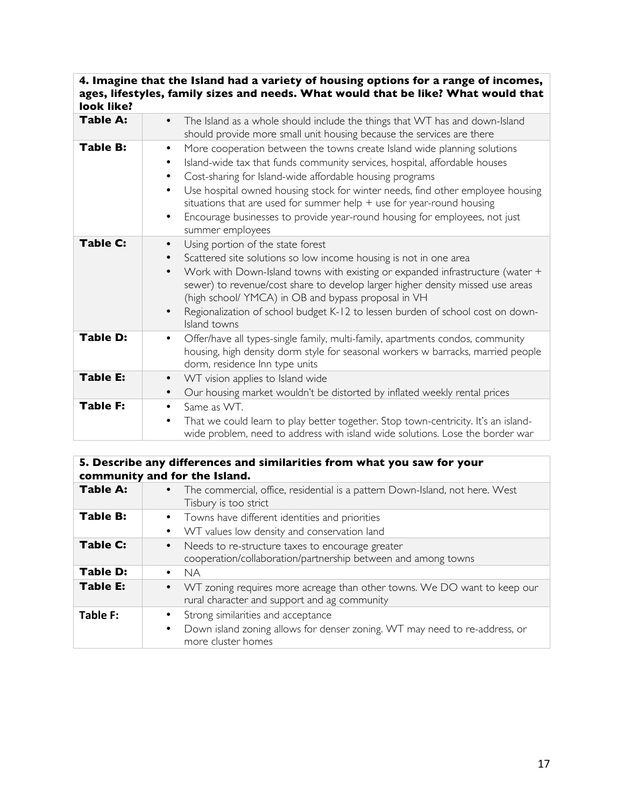### **4. Imagine that the Island had a variety of housing options for a range of incomes, ages, lifestyles, family sizes and needs. What would that be like? What would that look like?**

| <b>Table A:</b> | The Island as a whole should include the things that WT has and down-Island<br>$\bullet$<br>should provide more small unit housing because the services are there                                                                                                                                                                                                                                                                                                                                                        |
|-----------------|--------------------------------------------------------------------------------------------------------------------------------------------------------------------------------------------------------------------------------------------------------------------------------------------------------------------------------------------------------------------------------------------------------------------------------------------------------------------------------------------------------------------------|
| <b>Table B:</b> | More cooperation between the towns create Island wide planning solutions<br>$\bullet$<br>Island-wide tax that funds community services, hospital, affordable houses<br>$\bullet$<br>Cost-sharing for Island-wide affordable housing programs<br>Use hospital owned housing stock for winter needs, find other employee housing<br>$\bullet$<br>situations that are used for summer help $+$ use for year-round housing<br>Encourage businesses to provide year-round housing for employees, not just<br>summer employees |
| Table C:        | Using portion of the state forest<br>$\bullet$<br>Scattered site solutions so low income housing is not in one area<br>Work with Down-Island towns with existing or expanded infrastructure (water +<br>$\bullet$<br>sewer) to revenue/cost share to develop larger higher density missed use areas<br>(high school/ YMCA) in OB and bypass proposal in VH<br>Regionalization of school budget K-12 to lessen burden of school cost on down-<br>Island towns                                                             |
| Table D:        | Offer/have all types-single family, multi-family, apartments condos, community<br>housing, high density dorm style for seasonal workers w barracks, married people<br>dorm, residence Inn type units                                                                                                                                                                                                                                                                                                                     |
| <b>Table E:</b> | WT vision applies to Island wide<br>$\bullet$<br>Our housing market wouldn't be distorted by inflated weekly rental prices<br>٠                                                                                                                                                                                                                                                                                                                                                                                          |
| <b>Table F:</b> | Same as WT.<br>$\bullet$<br>That we could learn to play better together. Stop town-centricity. It's an island-<br>٠<br>wide problem, need to address with island wide solutions. Lose the border war                                                                                                                                                                                                                                                                                                                     |

### **5. Describe any differences and similarities from what you saw for your community and for the Island. Table A:** • The commercial, office, residential is a pattern Down-Island, not here. West Tisbury is too strict **Table B:** • Towns have different identities and priorities • WT values low density and conservation land **Table C:** • Needs to re-structure taxes to encourage greater cooperation/collaboration/partnership between and among towns Table D:  $\begin{array}{c} \bullet \quad \mathsf{NA} \\ \hline \mathsf{TableE:} \qquad \bullet \quad \mathsf{W} \end{array}$ **•** WT zoning requires more acreage than other towns. We DO want to keep our rural character and support and ag community **Table F:**  $\bullet$  Strong similarities and acceptance • Down island zoning allows for denser zoning. WT may need to re-address, or more cluster homes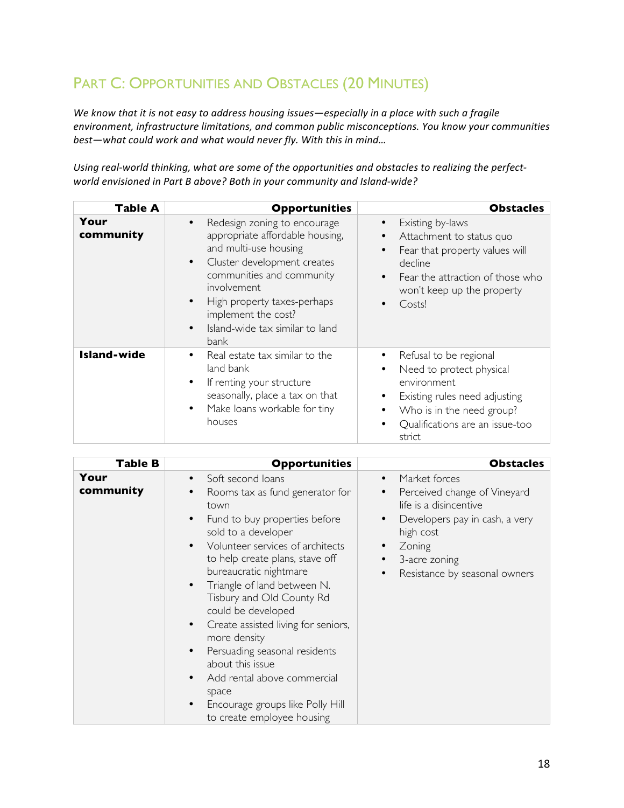# PART C: OPPORTUNITIES AND OBSTACLES (20 MINUTES)

We know that it is not easy to address housing issues—especially in a place with such a fragile environment, infrastructure limitations, and common public misconceptions. You know your communities *best-what could work and what would never fly. With this in mind...* 

Using real-world thinking, what are some of the opportunities and obstacles to realizing the perfect*world envisioned in Part B above? Both in your community and Island-wide?* 

| <b>Table A</b>     | <b>Opportunities</b>                                                                                                                                                                                                                                                                                                            | <b>Obstacles</b>                                                                                                                                                                                             |
|--------------------|---------------------------------------------------------------------------------------------------------------------------------------------------------------------------------------------------------------------------------------------------------------------------------------------------------------------------------|--------------------------------------------------------------------------------------------------------------------------------------------------------------------------------------------------------------|
| Your<br>community  | Redesign zoning to encourage<br>$\bullet$<br>appropriate affordable housing,<br>and multi-use housing<br>Cluster development creates<br>$\bullet$<br>communities and community<br><i>involvement</i><br>High property taxes-perhaps<br>$\bullet$<br>implement the cost?<br>Island-wide tax similar to land<br>$\bullet$<br>bank | Existing by-laws<br>$\bullet$<br>Attachment to status quo<br>Fear that property values will<br>$\bullet$<br>decline<br>Fear the attraction of those who<br>$\bullet$<br>won't keep up the property<br>Costs! |
| <b>Island-wide</b> | Real estate tax similar to the<br>$\bullet$<br>land bank<br>If renting your structure<br>٠<br>seasonally, place a tax on that<br>Make loans workable for tiny<br>$\bullet$<br>houses                                                                                                                                            | Refusal to be regional<br>Need to protect physical<br>environment<br>Existing rules need adjusting<br>Who is in the need group?<br>Qualifications are an issue-too<br>٠<br>strict                            |

| <b>Table B</b>    | <b>Opportunities</b>                                                                                                                                                                                                               | <b>Obstacles</b>                                                                                                                                                                 |
|-------------------|------------------------------------------------------------------------------------------------------------------------------------------------------------------------------------------------------------------------------------|----------------------------------------------------------------------------------------------------------------------------------------------------------------------------------|
| Your<br>community | Soft second loans<br>$\bullet$<br>Rooms tax as fund generator for<br>town<br>Fund to buy properties before<br>$\bullet$<br>sold to a developer<br>Volunteer services of architects<br>$\bullet$<br>to help create plans, stave off | Market forces<br>$\bullet$<br>Perceived change of Vineyard<br>٠<br>life is a disincentive<br>Developers pay in cash, a very<br>$\bullet$<br>high cost<br>Zoning<br>3-acre zoning |
|                   | bureaucratic nightmare<br>Triangle of land between N.<br>$\bullet$<br>Tisbury and Old County Rd<br>could be developed<br>Create assisted living for seniors,<br>$\bullet$<br>more density                                          | Resistance by seasonal owners                                                                                                                                                    |
|                   | Persuading seasonal residents<br>$\bullet$<br>about this issue<br>Add rental above commercial<br>$\bullet$<br>space<br>Encourage groups like Polly Hill<br>$\bullet$<br>to create employee housing                                 |                                                                                                                                                                                  |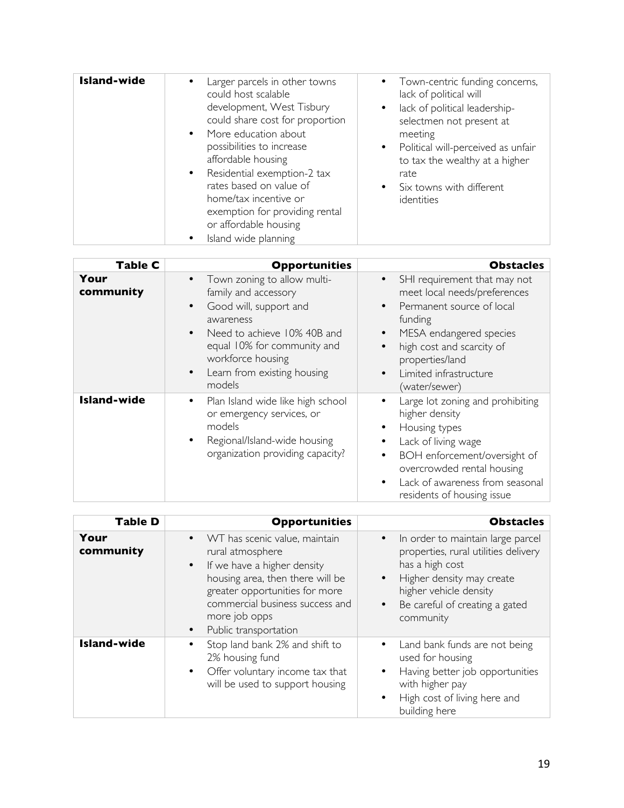| <b>Island-wide</b><br>Larger parcels in other towns<br>could host scalable<br>development, West Tisbury<br>could share cost for proportion<br>• More education about<br>possibilities to increase<br>affordable housing<br>Residential exemption-2 tax<br>$\bullet$<br>rates based on value of<br>home/tax incentive or<br>exemption for providing rental<br>or affordable housing<br>Island wide planning<br>$\bullet$ | • Town-centric funding concerns,<br>lack of political will<br>lack of political leadership-<br>selectmen not present at<br>meeting<br>Political will-perceived as unfair<br>to tax the wealthy at a higher<br>rate<br>• Six towns with different<br>identities |
|-------------------------------------------------------------------------------------------------------------------------------------------------------------------------------------------------------------------------------------------------------------------------------------------------------------------------------------------------------------------------------------------------------------------------|----------------------------------------------------------------------------------------------------------------------------------------------------------------------------------------------------------------------------------------------------------------|

| Table C            | <b>Opportunities</b>                                                                                                                                                                                                                                                       | <b>Obstacles</b>                                                                                                                                                                                                                                                      |
|--------------------|----------------------------------------------------------------------------------------------------------------------------------------------------------------------------------------------------------------------------------------------------------------------------|-----------------------------------------------------------------------------------------------------------------------------------------------------------------------------------------------------------------------------------------------------------------------|
| Your<br>community  | Town zoning to allow multi-<br>$\bullet$<br>family and accessory<br>Good will, support and<br>$\bullet$<br>awareness<br>Need to achieve 10% 40B and<br>$\bullet$<br>equal 10% for community and<br>workforce housing<br>Learn from existing housing<br>$\bullet$<br>models | SHI requirement that may not<br>$\bullet$<br>meet local needs/preferences<br>Permanent source of local<br>funding<br>MESA endangered species<br>$\bullet$<br>high cost and scarcity of<br>properties/land<br>Limited infrastructure<br>$\bullet$<br>(water/sewer)     |
| <b>Island-wide</b> | Plan Island wide like high school<br>$\bullet$<br>or emergency services, or<br>models<br>Regional/Island-wide housing<br>$\bullet$<br>organization providing capacity?                                                                                                     | Large lot zoning and prohibiting<br>$\bullet$<br>higher density<br>Housing types<br>٠<br>Lack of living wage<br>BOH enforcement/oversight of<br>$\bullet$<br>overcrowded rental housing<br>Lack of awareness from seasonal<br>$\bullet$<br>residents of housing issue |

| <b>Table D</b>     | <b>Opportunities</b>                                                                                                                                                                                                                                                       | <b>Obstacles</b>                                                                                                                                                                                                                            |
|--------------------|----------------------------------------------------------------------------------------------------------------------------------------------------------------------------------------------------------------------------------------------------------------------------|---------------------------------------------------------------------------------------------------------------------------------------------------------------------------------------------------------------------------------------------|
| Your<br>community  | WT has scenic value, maintain<br>$\bullet$<br>rural atmosphere<br>If we have a higher density<br>$\bullet$<br>housing area, then there will be<br>greater opportunities for more<br>commercial business success and<br>more job opps<br>Public transportation<br>$\bullet$ | In order to maintain large parcel<br>$\bullet$<br>properties, rural utilities delivery<br>has a high cost<br>Higher density may create<br>$\bullet$<br>higher vehicle density<br>Be careful of creating a gated<br>$\bullet$ .<br>community |
| <b>Island-wide</b> | Stop land bank 2% and shift to<br>2% housing fund<br>Offer voluntary income tax that<br>$\bullet$<br>will be used to support housing                                                                                                                                       | Land bank funds are not being<br>used for housing<br>Having better job opportunities<br>$\bullet$<br>with higher pay<br>High cost of living here and<br>building here                                                                       |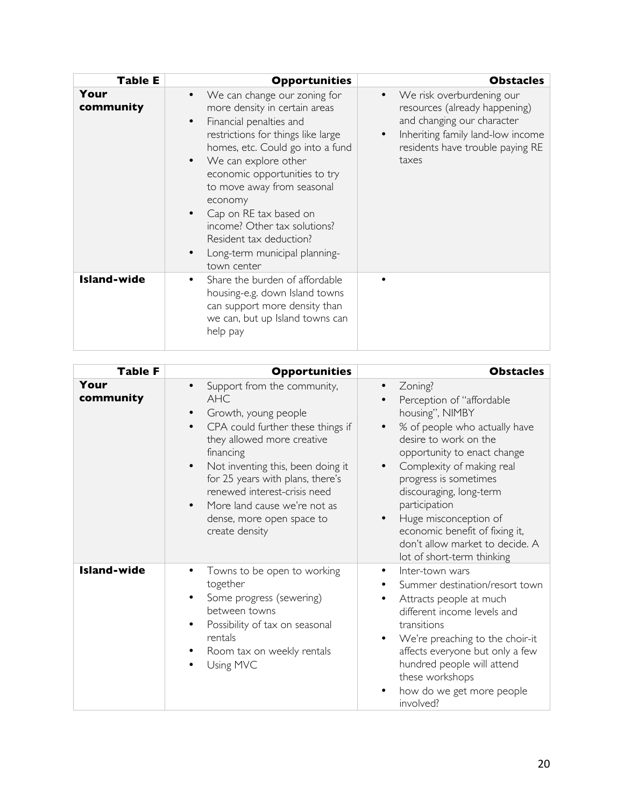| <b>Table E</b>     | <b>Opportunities</b>                                                                                                                                                                                                                                                                                                                                                                                                                                                       | <b>Obstacles</b>                                                                                                                                                                        |
|--------------------|----------------------------------------------------------------------------------------------------------------------------------------------------------------------------------------------------------------------------------------------------------------------------------------------------------------------------------------------------------------------------------------------------------------------------------------------------------------------------|-----------------------------------------------------------------------------------------------------------------------------------------------------------------------------------------|
| Your<br>community  | We can change our zoning for<br>$\bullet$<br>more density in certain areas<br>Financial penalties and<br>$\bullet$<br>restrictions for things like large<br>homes, etc. Could go into a fund<br>We can explore other<br>$\bullet$<br>economic opportunities to try<br>to move away from seasonal<br>economy<br>Cap on RE tax based on<br>$\bullet$<br>income? Other tax solutions?<br>Resident tax deduction?<br>Long-term municipal planning-<br>$\bullet$<br>town center | We risk overburdening our<br>$\bullet$<br>resources (already happening)<br>and changing our character<br>Inheriting family land-low income<br>residents have trouble paying RE<br>taxes |
| <b>Island-wide</b> | Share the burden of affordable<br>$\bullet$<br>housing-e.g. down Island towns<br>can support more density than<br>we can, but up Island towns can<br>help pay                                                                                                                                                                                                                                                                                                              |                                                                                                                                                                                         |

| <b>Table F</b>     | <b>Opportunities</b>                                                                                                                                                                                                                                                                                                                                                                          | <b>Obstacles</b>                                                                                                                                                                                                                                                                                                                                                                                         |
|--------------------|-----------------------------------------------------------------------------------------------------------------------------------------------------------------------------------------------------------------------------------------------------------------------------------------------------------------------------------------------------------------------------------------------|----------------------------------------------------------------------------------------------------------------------------------------------------------------------------------------------------------------------------------------------------------------------------------------------------------------------------------------------------------------------------------------------------------|
| Your<br>community  | Support from the community,<br>$\bullet$<br><b>AHC</b><br>Growth, young people<br>CPA could further these things if<br>$\bullet$<br>they allowed more creative<br>financing<br>Not inventing this, been doing it<br>$\bullet$<br>for 25 years with plans, there's<br>renewed interest-crisis need<br>More land cause we're not as<br>$\bullet$<br>dense, more open space to<br>create density | Zoning?<br>Perception of "affordable<br>housing", NIMBY<br>% of people who actually have<br>$\bullet$<br>desire to work on the<br>opportunity to enact change<br>Complexity of making real<br>$\bullet$<br>progress is sometimes<br>discouraging, long-term<br>participation<br>Huge misconception of<br>economic benefit of fixing it,<br>don't allow market to decide. A<br>lot of short-term thinking |
| <b>Island-wide</b> | Towns to be open to working<br>together<br>Some progress (sewering)<br>between towns<br>Possibility of tax on seasonal<br>rentals<br>Room tax on weekly rentals<br>Using MVC                                                                                                                                                                                                                  | Inter-town wars<br>Summer destination/resort town<br>Attracts people at much<br>different income levels and<br>transitions<br>We're preaching to the choir-it<br>affects everyone but only a few<br>hundred people will attend<br>these workshops<br>how do we get more people<br>involved?                                                                                                              |